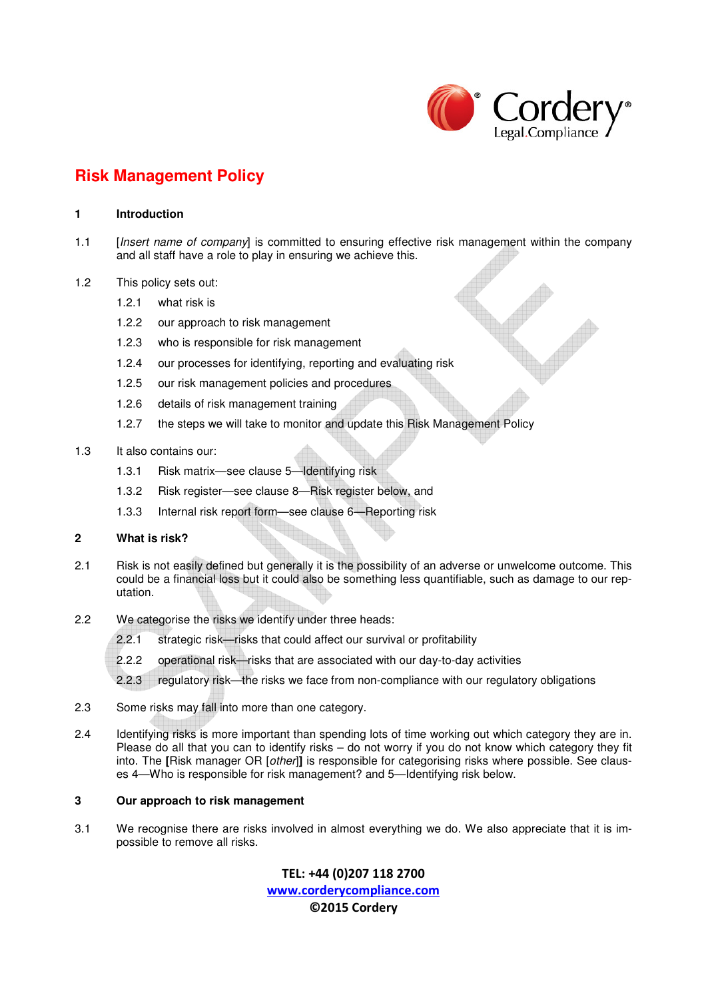

# **Risk Management Policy**

#### **1 Introduction**

- 1.1 [Insert name of company] is committed to ensuring effective risk management within the company and all staff have a role to play in ensuring we achieve this.
- 1.2 This policy sets out:
	- 1.2.1 what risk is
	- 1.2.2 our approach to risk management
	- 1.2.3 who is responsible for risk management
	- 1.2.4 our processes for identifying, reporting and evaluating risk
	- 1.2.5 our risk management policies and procedures
	- 1.2.6 details of risk management training
	- 1.2.7 the steps we will take to monitor and update this Risk Management Policy
- 1.3 It also contains our:
	- 1.3.1 Risk matrix—see clause 5—Identifying risk
	- 1.3.2 Risk register—see clause 8—Risk register below, and
	- 1.3.3 Internal risk report form—see clause 6—Reporting risk

#### **2 What is risk?**

- 2.1 Risk is not easily defined but generally it is the possibility of an adverse or unwelcome outcome. This could be a financial loss but it could also be something less quantifiable, such as damage to our reputation.
- 2.2 We categorise the risks we identify under three heads:
	- 2.2.1 strategic risk—risks that could affect our survival or profitability
	- 2.2.2 operational risk—risks that are associated with our day-to-day activities
	- 2.2.3 regulatory risk—the risks we face from non-compliance with our regulatory obligations
- 2.3 Some risks may fall into more than one category.
- 2.4 Identifying risks is more important than spending lots of time working out which category they are in. Please do all that you can to identify risks – do not worry if you do not know which category they fit into. The **[**Risk manager OR [other]**]** is responsible for categorising risks where possible. See clauses 4—Who is responsible for risk management? and 5—Identifying risk below.

#### **3 Our approach to risk management**

3.1 We recognise there are risks involved in almost everything we do. We also appreciate that it is impossible to remove all risks.

# **TEL: +44 (0)207 118 2700 www.corderycompliance.com ©2015 Cordery**